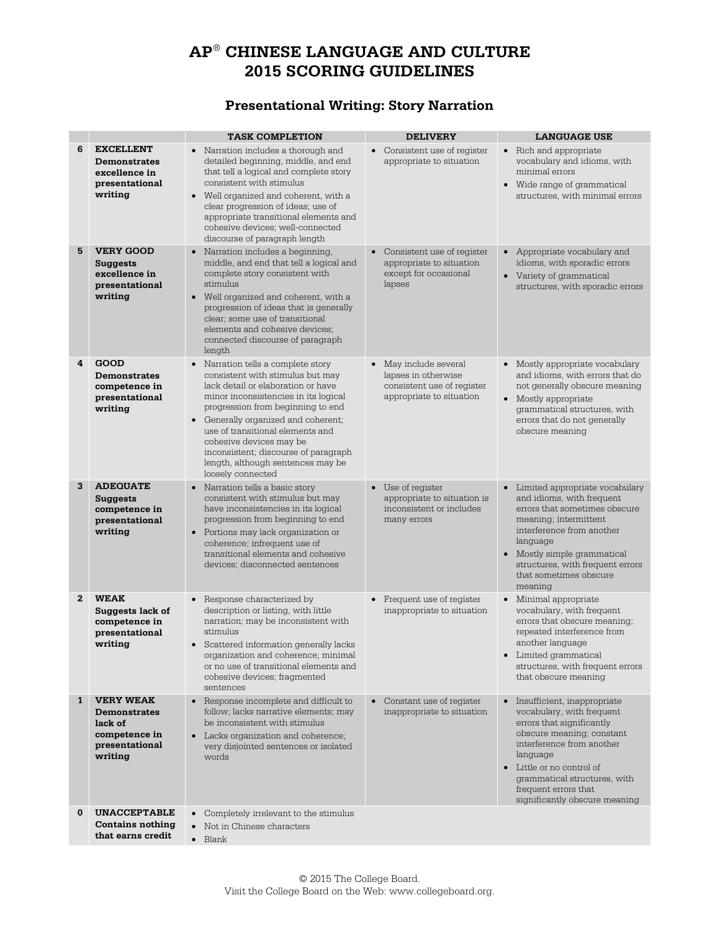# **AP**® **CHINESE LANGUAGE AND CULTURE 2015 SCORING GUIDELINES**

## **Presentational Writing: Story Narration**

|              |                                                                                                  | <b>TASK COMPLETION</b>                                                                                                                                                                                                                                                                                                                                                                            | <b>DELIVERY</b>                                                                                        | <b>LANGUAGE USE</b>                                                                                                                                                                                                                                                                            |
|--------------|--------------------------------------------------------------------------------------------------|---------------------------------------------------------------------------------------------------------------------------------------------------------------------------------------------------------------------------------------------------------------------------------------------------------------------------------------------------------------------------------------------------|--------------------------------------------------------------------------------------------------------|------------------------------------------------------------------------------------------------------------------------------------------------------------------------------------------------------------------------------------------------------------------------------------------------|
| 6            | <b>EXCELLENT</b><br><b>Demonstrates</b><br>excellence in<br>presentational<br>writing            | Narration includes a thorough and<br>$\bullet$<br>detailed beginning, middle, and end<br>that tell a logical and complete story<br>consistent with stimulus<br>• Well organized and coherent, with a<br>clear progression of ideas; use of<br>appropriate transitional elements and<br>cohesive devices; well-connected<br>discourse of paragraph length                                          | $\bullet$<br>Consistent use of register<br>appropriate to situation                                    | • Rich and appropriate<br>vocabulary and idioms, with<br>minimal errors<br>• Wide range of grammatical<br>structures, with minimal errors                                                                                                                                                      |
| 5            | <b>VERY GOOD</b><br><b>Suggests</b><br>excellence in<br>presentational<br>writing                | • Narration includes a beginning,<br>middle, and end that tell a logical and<br>complete story consistent with<br>stimulus<br>• Well organized and coherent, with a<br>progression of ideas that is generally<br>clear; some use of transitional<br>elements and cohesive devices;<br>connected discourse of paragraph<br>length                                                                  | Consistent use of register<br>appropriate to situation<br>except for occasional<br>lapses              | • Appropriate vocabulary and<br>idioms, with sporadic errors<br>• Variety of grammatical<br>structures, with sporadic errors                                                                                                                                                                   |
| 4            | GOOD<br><b>Demonstrates</b><br>competence in<br>presentational<br>writing                        | • Narration tells a complete story<br>consistent with stimulus but may<br>lack detail or elaboration or have<br>minor inconsistencies in its logical<br>progression from beginning to end<br>• Generally organized and coherent;<br>use of transitional elements and<br>cohesive devices may be<br>inconsistent; discourse of paragraph<br>length, although sentences may be<br>loosely connected | • May include several<br>lapses in otherwise<br>consistent use of register<br>appropriate to situation | • Mostly appropriate vocabulary<br>and idioms, with errors that do<br>not generally obscure meaning<br>• Mostly appropriate<br>grammatical structures, with<br>errors that do not generally<br>obscure meaning                                                                                 |
| 3            | <b>ADEQUATE</b><br><b>Suggests</b><br>competence in<br>presentational<br>writing                 | Narration tells a basic story<br>$\bullet$<br>consistent with stimulus but may<br>have inconsistencies in its logical<br>progression from beginning to end<br>• Portions may lack organization or<br>coherence; infrequent use of<br>transitional elements and cohesive<br>devices; disconnected sentences                                                                                        | Use of register<br>$\bullet$<br>appropriate to situation is<br>inconsistent or includes<br>many errors | • Limited appropriate vocabulary<br>and idioms, with frequent<br>errors that sometimes obscure<br>meaning; intermittent<br>interference from another<br>language<br>• Mostly simple grammatical<br>structures, with frequent errors<br>that sometimes obscure<br>meaning                       |
| $\mathbf{2}$ | <b>WEAK</b><br>Suggests lack of<br>competence in<br>presentational<br>writing                    | • Response characterized by<br>description or listing, with little<br>narration; may be inconsistent with<br>stimulus<br>• Scattered information generally lacks<br>organization and coherence; minimal<br>or no use of transitional elements and<br>cohesive devices; fragmented<br>sentences                                                                                                    | • Frequent use of register<br>inappropriate to situation                                               | • Minimal appropriate<br>vocabulary, with frequent<br>errors that obscure meaning;<br>repeated interference from<br>another language<br>• Limited grammatical<br>structures, with frequent errors<br>that obscure meaning                                                                      |
| 1            | <b>VERY WEAK</b><br><b>Demonstrates</b><br>lack of<br>competence in<br>presentational<br>writing | Response incomplete and difficult to<br>$\bullet$<br>follow; lacks narrative elements; may<br>be inconsistent with stimulus<br>• Lacks organization and coherence;<br>very disjointed sentences or isolated<br>words                                                                                                                                                                              | Constant use of register<br>$\bullet$<br>inappropriate to situation                                    | Insufficient, inappropriate<br>$\bullet$<br>vocabulary, with frequent<br>errors that significantly<br>obscure meaning; constant<br>interference from another<br>language<br>• Little or no control of<br>grammatical structures, with<br>frequent errors that<br>significantly obscure meaning |
| $\bf{0}$     | <b>UNACCEPTABLE</b><br><b>Contains nothing</b><br>that earns credit                              | $\bullet$<br>Completely irrelevant to the stimulus<br>Not in Chinese characters<br>$\bullet$<br>$\bullet$ Blank                                                                                                                                                                                                                                                                                   |                                                                                                        |                                                                                                                                                                                                                                                                                                |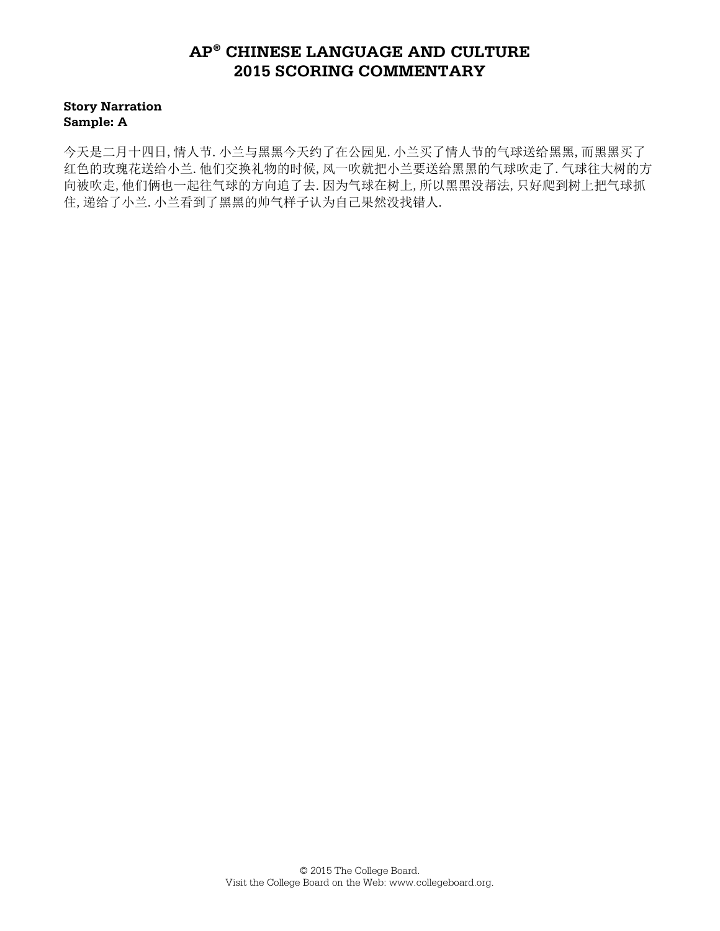**Story Narration Sample: A**

今天是二月十四日,情人节.小兰与黑黑今天约了在公园见.小兰买了情人节的气球送给黑黑,而黑黑买了 红色的玫瑰花送给小兰.他们交换礼物的时候,风一吹就把小兰要送给黑黑的气球吹走了.气球往大树的方 向被吹走,他们俩也一起往气球的方向追了去.因为气球在树上,所以黑黑没帮法,只好爬到树上把气球抓 住,递给了小兰.小兰看到了黑黑的帅气样子认为自己果然没找错人.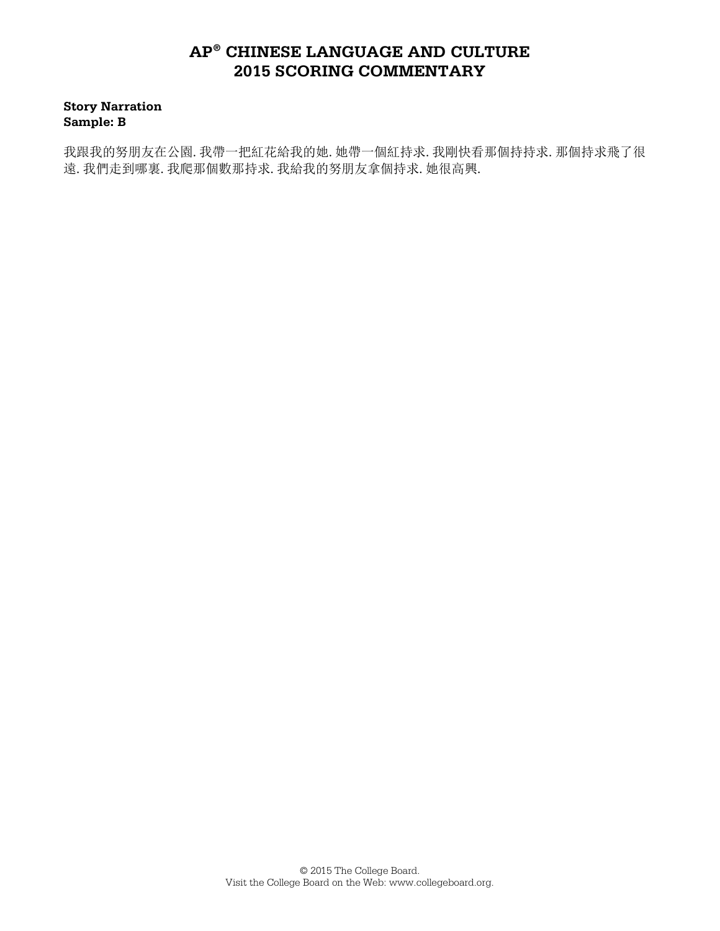**Story Narration Sample: B**

我跟我的努朋友在公園.我帶一把紅花給我的她.她帶一個紅持求.我剛快看那個持持求.那個持求飛了很 遠.我們走到哪裏.我爬那個數那持求.我給我的努朋友拿個持求.她很高興.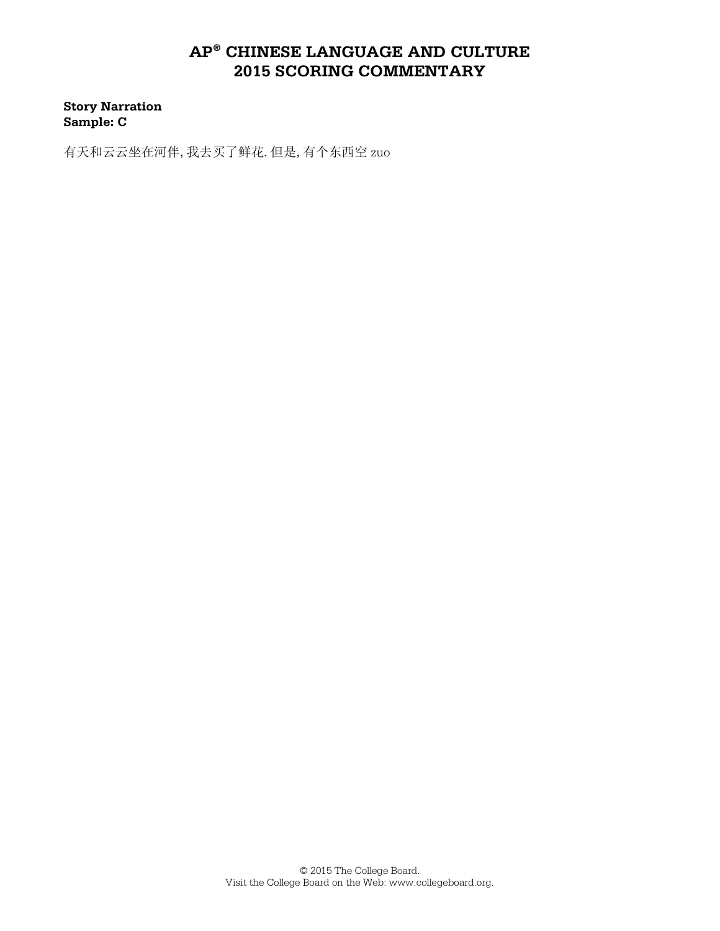**Story Narration Sample: C**

有天和云云坐在河伴,我去买了鲜花.但是,有个东西空 zuo